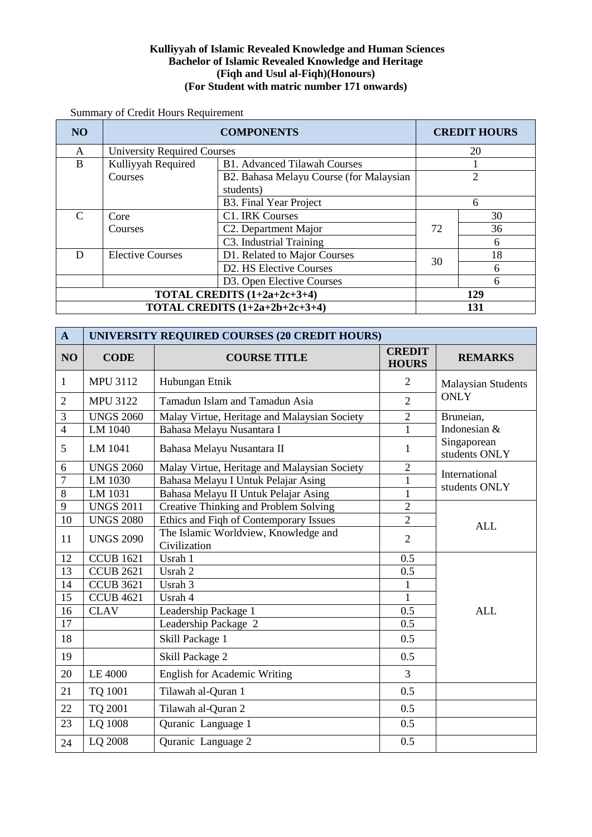## **Kulliyyah of Islamic Revealed Knowledge and Human Sciences Bachelor of Islamic Revealed Knowledge and Heritage (Fiqh and Usul al-Fiqh)(Honours) (For Student with matric number 171 onwards)**

Summary of Credit Hours Requirement

| <b>NO</b>                      |                                    | <b>COMPONENTS</b>                       |          | <b>CREDIT HOURS</b> |
|--------------------------------|------------------------------------|-----------------------------------------|----------|---------------------|
| A                              | <b>University Required Courses</b> |                                         |          | 20                  |
| B                              | Kulliyyah Required                 | <b>B1. Advanced Tilawah Courses</b>     |          |                     |
|                                | Courses                            | B2. Bahasa Melayu Course (for Malaysian |          |                     |
|                                |                                    | students)                               |          |                     |
|                                |                                    | B3. Final Year Project                  | 6        |                     |
| $\mathcal{C}_{\mathcal{C}}$    | Core                               | C1. IRK Courses                         |          | 30                  |
|                                | Courses                            | C <sub>2</sub> . Department Major       | 36<br>72 |                     |
|                                |                                    | C3. Industrial Training                 |          | 6                   |
| D                              | <b>Elective Courses</b>            | D1. Related to Major Courses            | 30       | 18                  |
|                                |                                    | D2. HS Elective Courses                 |          | 6                   |
|                                |                                    | D3. Open Elective Courses               |          | 6                   |
| TOTAL CREDITS (1+2a+2c+3+4)    |                                    | 129                                     |          |                     |
| TOTAL CREDITS (1+2a+2b+2c+3+4) |                                    |                                         |          | 131                 |

| $\mathbf{A}$   | UNIVERSITY REQUIRED COURSES (20 CREDIT HOURS) |                                                      |                               |                              |  |
|----------------|-----------------------------------------------|------------------------------------------------------|-------------------------------|------------------------------|--|
| NO             | <b>CODE</b>                                   | <b>COURSE TITLE</b>                                  | <b>CREDIT</b><br><b>HOURS</b> | <b>REMARKS</b>               |  |
| 1              | <b>MPU 3112</b>                               | Hubungan Etnik                                       | $\overline{2}$                | <b>Malaysian Students</b>    |  |
| $\overline{2}$ | <b>MPU 3122</b>                               | Tamadun Islam and Tamadun Asia                       | $\overline{2}$                | <b>ONLY</b>                  |  |
| 3              | <b>UNGS 2060</b>                              | Malay Virtue, Heritage and Malaysian Society         | $\overline{2}$                | Bruneian,                    |  |
| $\overline{4}$ | LM 1040                                       | Bahasa Melayu Nusantara I                            | $\mathbf{1}$                  | Indonesian &                 |  |
| 5              | LM 1041                                       | Bahasa Melayu Nusantara II                           | 1                             | Singaporean<br>students ONLY |  |
| 6              | <b>UNGS 2060</b>                              | Malay Virtue, Heritage and Malaysian Society         | $\overline{2}$                | International                |  |
| $\overline{7}$ | LM 1030                                       | Bahasa Melayu I Untuk Pelajar Asing                  | $\mathbf{1}$                  | students ONLY                |  |
| $\overline{8}$ | LM 1031                                       | Bahasa Melayu II Untuk Pelajar Asing                 | $\mathbf{1}$                  |                              |  |
| 9              | <b>UNGS 2011</b>                              | Creative Thinking and Problem Solving                | $\overline{2}$                |                              |  |
| 10             | <b>UNGS 2080</b>                              | Ethics and Fiqh of Contemporary Issues               | $\overline{2}$                | <b>ALL</b>                   |  |
| 11             | <b>UNGS 2090</b>                              | The Islamic Worldview, Knowledge and<br>Civilization | $\overline{2}$                |                              |  |
| 12             | <b>CCUB 1621</b>                              | Usrah 1                                              | 0.5                           |                              |  |
| 13             | <b>CCUB 2621</b>                              | Usrah 2                                              | 0.5                           |                              |  |
| 14             | <b>CCUB 3621</b>                              | Usrah 3                                              | $\mathbf{1}$                  |                              |  |
| 15             | <b>CCUB 4621</b>                              | Usrah 4                                              | $\mathbf{1}$                  |                              |  |
| 16             | <b>CLAV</b>                                   | Leadership Package 1                                 | 0.5                           | <b>ALL</b>                   |  |
| 17             |                                               | Leadership Package 2                                 | 0.5                           |                              |  |
| 18             |                                               | Skill Package 1                                      | 0.5                           |                              |  |
| 19             |                                               | Skill Package 2                                      | 0.5                           |                              |  |
| 20             | LE 4000                                       | <b>English for Academic Writing</b>                  | $\overline{3}$                |                              |  |
| 21             | TQ 1001                                       | Tilawah al-Quran 1                                   | 0.5                           |                              |  |
| 22             | TQ 2001                                       | Tilawah al-Quran 2                                   | 0.5                           |                              |  |
| 23             | LQ 1008                                       | Quranic Language 1                                   | 0.5                           |                              |  |
| 24             | LQ 2008                                       | Quranic Language 2                                   | 0.5                           |                              |  |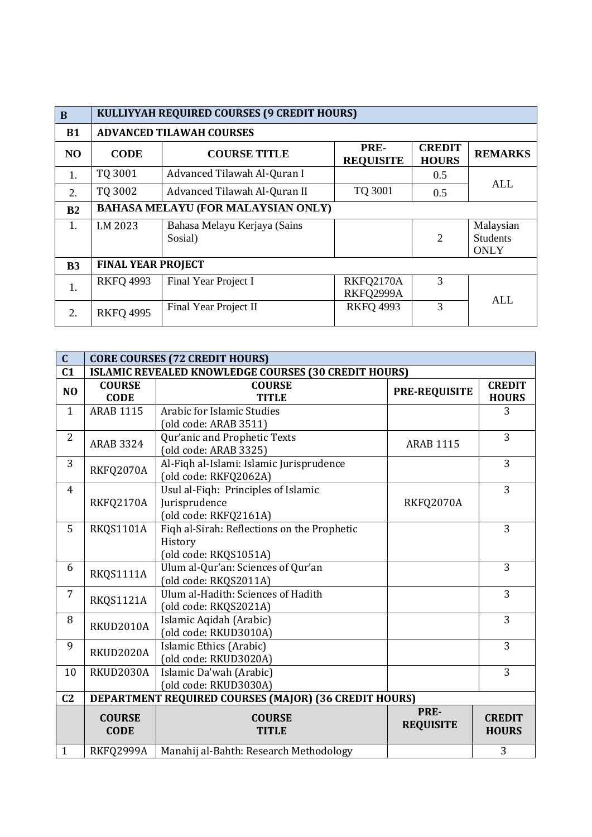| B              | KULLIYYAH REQUIRED COURSES (9 CREDIT HOURS) |                                         |                          |                               |                                             |
|----------------|---------------------------------------------|-----------------------------------------|--------------------------|-------------------------------|---------------------------------------------|
| <b>B1</b>      |                                             | <b>ADVANCED TILAWAH COURSES</b>         |                          |                               |                                             |
| N <sub>O</sub> | <b>CODE</b>                                 | <b>COURSE TITLE</b>                     | PRE-<br><b>REQUISITE</b> | <b>CREDIT</b><br><b>HOURS</b> | <b>REMARKS</b>                              |
| 1.             | TQ 3001                                     | Advanced Tilawah Al-Quran I             |                          | 0.5                           |                                             |
| 2.             | TQ 3002                                     | Advanced Tilawah Al-Quran II            | TQ 3001                  | 0.5                           | ALL                                         |
| B <sub>2</sub> | <b>BAHASA MELAYU (FOR MALAYSIAN ONLY)</b>   |                                         |                          |                               |                                             |
| $\mathbf{1}$ . | LM 2023                                     | Bahasa Melayu Kerjaya (Sains<br>Sosial) |                          | $\overline{2}$                | Malaysian<br><b>Students</b><br><b>ONLY</b> |
| B <sub>3</sub> | <b>FINAL YEAR PROJECT</b>                   |                                         |                          |                               |                                             |
| 1.             | <b>RKFQ 4993</b>                            | Final Year Project I                    | RKFQ2170A<br>RKFQ2999A   | 3                             | ALL                                         |
| 2.             | <b>RKFQ 4995</b>                            | Final Year Project II                   | <b>RKFO 4993</b>         | 3                             |                                             |

| $\overline{C}$ | <b>CORE COURSES (72 CREDIT HOURS)</b> |                                                                                 |                          |                               |  |
|----------------|---------------------------------------|---------------------------------------------------------------------------------|--------------------------|-------------------------------|--|
| C <sub>1</sub> |                                       | <b>ISLAMIC REVEALED KNOWLEDGE COURSES (30 CREDIT HOURS)</b>                     |                          |                               |  |
| N <sub>O</sub> | <b>COURSE</b><br><b>CODE</b>          | <b>COURSE</b><br><b>TITLE</b>                                                   | <b>PRE-REQUISITE</b>     | <b>CREDIT</b><br><b>HOURS</b> |  |
| $\mathbf{1}$   | <b>ARAB 1115</b>                      | <b>Arabic for Islamic Studies</b><br>(old code: ARAB 3511)                      |                          | 3                             |  |
| $\overline{2}$ | <b>ARAB 3324</b>                      | Qur'anic and Prophetic Texts<br>(old code: ARAB 3325)                           | <b>ARAB 1115</b>         | 3                             |  |
| 3              | RKFQ2070A                             | Al-Fiqh al-Islami: Islamic Jurisprudence<br>(old code: RKFQ2062A)               |                          | 3                             |  |
| 4              | RKFQ2170A                             | Usul al-Fiqh: Principles of Islamic<br>Jurisprudence<br>(old code: RKFQ2161A)   | RKFQ2070A                | 3                             |  |
| 5              | RKQS1101A                             | Fiqh al-Sirah: Reflections on the Prophetic<br>History<br>(old code: RKQS1051A) |                          | 3                             |  |
| 6              | RKQS1111A                             | Ulum al-Qur'an: Sciences of Qur'an<br>(old code: RKQS2011A)                     |                          | 3                             |  |
| $\overline{7}$ | RKQS1121A                             | Ulum al-Hadith: Sciences of Hadith<br>(old code: RKQS2021A)                     |                          | 3                             |  |
| 8              | RKUD2010A                             | Islamic Aqidah (Arabic)<br>(old code: RKUD3010A)                                |                          | 3                             |  |
| 9              | RKUD2020A                             | Islamic Ethics (Arabic)<br>(old code: RKUD3020A)                                |                          | 3                             |  |
| 10             | RKUD2030A                             | Islamic Da'wah (Arabic)<br>(old code: RKUD3030A)                                |                          | 3                             |  |
| C <sub>2</sub> |                                       | DEPARTMENT REQUIRED COURSES (MAJOR) (36 CREDIT HOURS)                           |                          |                               |  |
|                | <b>COURSE</b><br><b>CODE</b>          | <b>COURSE</b><br><b>TITLE</b>                                                   | PRE-<br><b>REQUISITE</b> | <b>CREDIT</b><br><b>HOURS</b> |  |
| $\mathbf{1}$   | RKFQ2999A                             | Manahij al-Bahth: Research Methodology                                          |                          | 3                             |  |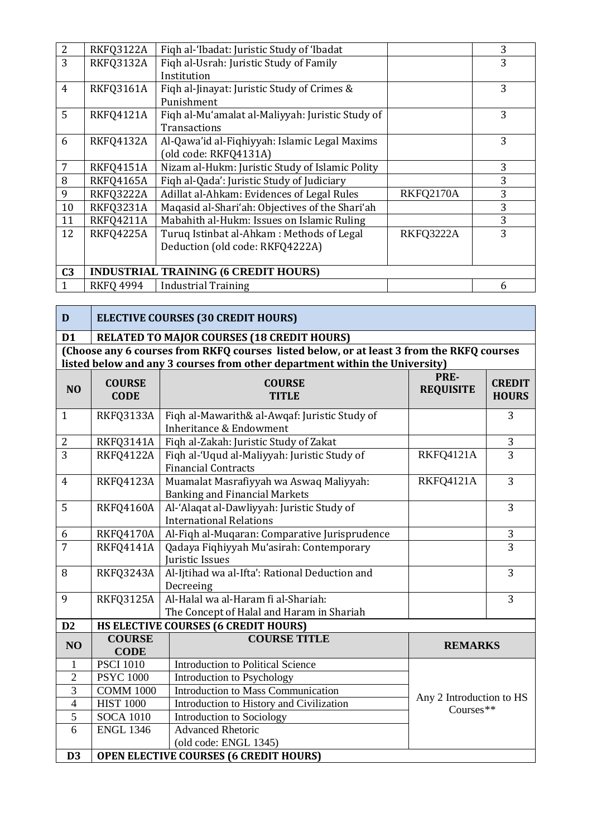| $\overline{2}$ | RKFQ3122A        | Figh al-'Ibadat: Juristic Study of 'Ibadat       |           | 3 |
|----------------|------------------|--------------------------------------------------|-----------|---|
| 3              | RKFQ3132A        | Fiqh al-Usrah: Juristic Study of Family          |           | 3 |
|                |                  | Institution                                      |           |   |
| $\overline{4}$ | RKFQ3161A        | Figh al-Jinayat: Juristic Study of Crimes &      |           | 3 |
|                |                  | Punishment                                       |           |   |
| 5              | <b>RKFQ4121A</b> | Fiqh al-Mu'amalat al-Maliyyah: Juristic Study of |           | 3 |
|                |                  | <b>Transactions</b>                              |           |   |
| 6              | RKFQ4132A        | Al-Qawa'id al-Fiqhiyyah: Islamic Legal Maxims    |           | 3 |
|                |                  | (old code: RKFQ4131A)                            |           |   |
| 7              | RKFQ4151A        | Nizam al-Hukm: Juristic Study of Islamic Polity  |           | 3 |
| 8              | <b>RKFQ4165A</b> | Figh al-Qada': Juristic Study of Judiciary       |           | 3 |
| 9              | <b>RKFQ3222A</b> | Adillat al-Ahkam: Evidences of Legal Rules       | RKFQ2170A | 3 |
| 10             | RKFQ3231A        | Maqasid al-Shari'ah: Objectives of the Shari'ah  |           | 3 |
| 11             | <b>RKFQ4211A</b> | Mabahith al-Hukm: Issues on Islamic Ruling       |           | 3 |
| 12             | <b>RKFQ4225A</b> | Turuq Istinbat al-Ahkam: Methods of Legal        | RKFQ3222A | 3 |
|                |                  | Deduction (old code: RKFQ4222A)                  |           |   |
|                |                  |                                                  |           |   |
| C <sub>3</sub> |                  | <b>INDUSTRIAL TRAINING (6 CREDIT HOURS)</b>      |           |   |
| 1              | <b>RKFQ 4994</b> | <b>Industrial Training</b>                       |           | 6 |

**D ELECTIVE COURSES (30 CREDIT HOURS) D1 RELATED TO MAJOR COURSES (18 CREDIT HOURS) (Choose any 6 courses from RKFQ courses listed below, or at least 3 from the RKFQ courses listed below and any 3 courses from other department within the University)**

| N <sub>O</sub> | <b>COURSE</b><br><b>CODE</b> | <b>COURSE</b><br><b>TITLE</b>                                                       | PRE-<br><b>REQUISITE</b> | <b>CREDIT</b><br><b>HOURS</b> |
|----------------|------------------------------|-------------------------------------------------------------------------------------|--------------------------|-------------------------------|
| $\mathbf{1}$   | RKFQ3133A                    | Fiqh al-Mawarith& al-Awqaf: Juristic Study of<br><b>Inheritance &amp; Endowment</b> |                          | 3                             |
| $\sqrt{2}$     | RKFQ3141A                    | Fiqh al-Zakah: Juristic Study of Zakat                                              |                          | 3                             |
| $\overline{3}$ | <b>RKFQ4122A</b>             | Fiqh al-'Uqud al-Maliyyah: Juristic Study of<br><b>Financial Contracts</b>          | RKFQ4121A                | 3                             |
| $\overline{4}$ | <b>RKFQ4123A</b>             | Muamalat Masrafiyyah wa Aswaq Maliyyah:<br><b>Banking and Financial Markets</b>     | RKFQ4121A                | 3                             |
| 5              | RKFQ4160A                    | Al-'Alaqat al-Dawliyyah: Juristic Study of<br><b>International Relations</b>        |                          | 3                             |
| 6              | RKFQ4170A                    | Al-Fiqh al-Muqaran: Comparative Jurisprudence                                       |                          | 3                             |
| $\overline{7}$ | <b>RKFQ4141A</b>             | Qadaya Fiqhiyyah Mu'asirah: Contemporary<br>Juristic Issues                         |                          | 3                             |
| 8              | RKFQ3243A                    | Al-Ijtihad wa al-Ifta': Rational Deduction and<br>Decreeing                         |                          | 3                             |
| 9              | RKFQ3125A                    | Al-Halal wa al-Haram fi al-Shariah:<br>The Concept of Halal and Haram in Shariah    |                          | 3                             |
| D2             |                              | HS ELECTIVE COURSES (6 CREDIT HOURS)                                                |                          |                               |
| NO             | <b>COURSE</b><br><b>CODE</b> | <b>COURSE TITLE</b>                                                                 | <b>REMARKS</b>           |                               |
| $\mathbf{1}$   | <b>PSCI 1010</b>             | <b>Introduction to Political Science</b>                                            |                          |                               |
| $\overline{2}$ | <b>PSYC 1000</b>             | Introduction to Psychology                                                          |                          |                               |
| 3              | <b>COMM 1000</b>             | Introduction to Mass Communication                                                  | Any 2 Introduction to HS |                               |
| $\overline{4}$ | <b>HIST 1000</b>             | Introduction to History and Civilization                                            | Courses**                |                               |
| $\overline{5}$ | <b>SOCA 1010</b>             | Introduction to Sociology                                                           |                          |                               |
| 6              | <b>ENGL 1346</b>             | <b>Advanced Rhetoric</b>                                                            |                          |                               |
|                |                              | (old code: ENGL 1345)                                                               |                          |                               |
| D <sub>3</sub> |                              | <b>OPEN ELECTIVE COURSES (6 CREDIT HOURS)</b>                                       |                          |                               |